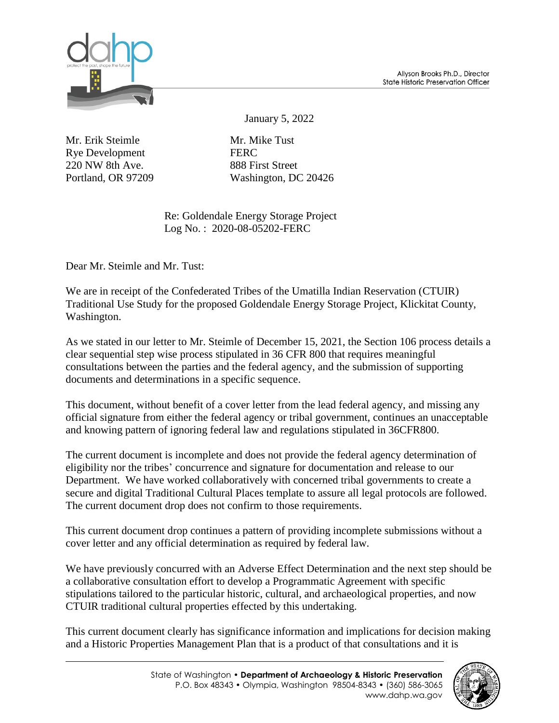

January 5, 2022

Mr. Erik Steimle Mr. Mike Tust Rye Development FERC 220 NW 8th Ave. 888 First Street

Portland, OR 97209 Washington, DC 20426

Re: Goldendale Energy Storage Project Log No. : 2020-08-05202-FERC

Dear Mr. Steimle and Mr. Tust:

We are in receipt of the Confederated Tribes of the Umatilla Indian Reservation (CTUIR) Traditional Use Study for the proposed Goldendale Energy Storage Project, Klickitat County, Washington.

As we stated in our letter to Mr. Steimle of December 15, 2021, the Section 106 process details a clear sequential step wise process stipulated in 36 CFR 800 that requires meaningful consultations between the parties and the federal agency, and the submission of supporting documents and determinations in a specific sequence.

This document, without benefit of a cover letter from the lead federal agency, and missing any official signature from either the federal agency or tribal government, continues an unacceptable and knowing pattern of ignoring federal law and regulations stipulated in 36CFR800.

The current document is incomplete and does not provide the federal agency determination of eligibility nor the tribes' concurrence and signature for documentation and release to our Department. We have worked collaboratively with concerned tribal governments to create a secure and digital Traditional Cultural Places template to assure all legal protocols are followed. The current document drop does not confirm to those requirements.

This current document drop continues a pattern of providing incomplete submissions without a cover letter and any official determination as required by federal law.

We have previously concurred with an Adverse Effect Determination and the next step should be a collaborative consultation effort to develop a Programmatic Agreement with specific stipulations tailored to the particular historic, cultural, and archaeological properties, and now CTUIR traditional cultural properties effected by this undertaking.

This current document clearly has significance information and implications for decision making and a Historic Properties Management Plan that is a product of that consultations and it is